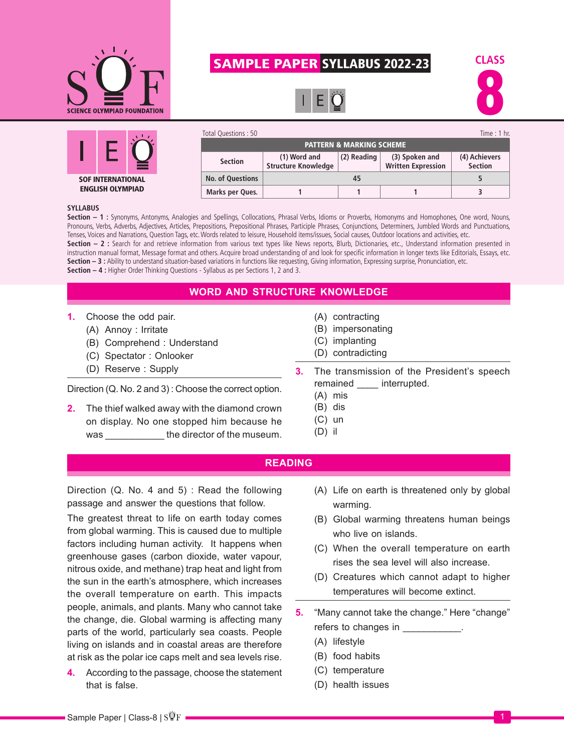

# SAMPLE PAPER SYLLABUS 2022-23







| Total Questions: 50                 |                                            |             |                                             | Time: $1$ hr.                   |
|-------------------------------------|--------------------------------------------|-------------|---------------------------------------------|---------------------------------|
| <b>PATTERN &amp; MARKING SCHEME</b> |                                            |             |                                             |                                 |
| <b>Section</b>                      | (1) Word and<br><b>Structure Knowledge</b> | (2) Reading | (3) Spoken and<br><b>Written Expression</b> | (4) Achievers<br><b>Section</b> |
| <b>No. of Questions</b>             |                                            |             |                                             |                                 |
| Marks per Ques.                     |                                            |             |                                             |                                 |

#### **SYLLABUS**

**Section – 1 :** Synonyms, Antonyms, Analogies and Spellings, Collocations, Phrasal Verbs, Idioms or Proverbs, Homonyms and Homophones, One word, Nouns, Pronouns, Verbs, Adverbs, Adjectives, Articles, Prepositions, Prepositional Phrases, Participle Phrases, Conjunctions, Determiners, Jumbled Words and Punctuations, Tenses, Voices and Narrations, Question Tags, etc. Words related to leisure, Household items/issues, Social causes, Outdoor locations and activities, etc. **Section – 2 :** Search for and retrieve information from various text types like News reports, Blurb, Dictionaries, etc., Understand information presented in instruction manual format, Message format and others. Acquire broad understanding of and look for specific information in longer texts like Editorials, Essays, etc. **Section – 3 :** Ability to understand situation-based variations in functions like requesting, Giving information, Expressing surprise, Pronunciation, etc. **Section – 4 :** Higher Order Thinking Questions - Syllabus as per Sections 1, 2 and 3.

**WORD AND STRUCTURE KNOWLEDGE**

- **1.** Choose the odd pair.
	- (A) Annoy : Irritate
	- (B) Comprehend : Understand
	- (C) Spectator : Onlooker
	- (D) Reserve : Supply

Direction (Q. No. 2 and 3) : Choose the correct option.

**2.** The thief walked away with the diamond crown on display. No one stopped him because he was the director of the museum.

- (A) contracting
- (B) impersonating
- (C) implanting
- (D) contradicting
- **3.** The transmission of the President's speech remained interrupted.
	- (A) mis
	- (B) dis
	- (C) un
	- (D) il

#### **READING**

Direction (Q. No. 4 and 5) : Read the following passage and answer the questions that follow.

The greatest threat to life on earth today comes from global warming. This is caused due to multiple factors including human activity. It happens when greenhouse gases (carbon dioxide, water vapour, nitrous oxide, and methane) trap heat and light from the sun in the earth's atmosphere, which increases the overall temperature on earth. This impacts people, animals, and plants. Many who cannot take the change, die. Global warming is affecting many parts of the world, particularly sea coasts. People living on islands and in coastal areas are therefore at risk as the polar ice caps melt and sea levels rise.

**4.** According to the passage, choose the statement that is false.

- (A) Life on earth is threatened only by global warming.
- (B) Global warming threatens human beings who live on islands.
- (C) When the overall temperature on earth rises the sea level will also increase.
- (D) Creatures which cannot adapt to higher temperatures will become extinct.
- **5.** "Many cannot take the change." Here "change" refers to changes in  $\blacksquare$ 
	- (A) lifestyle
	- (B) food habits
	- (C) temperature
	- (D) health issues